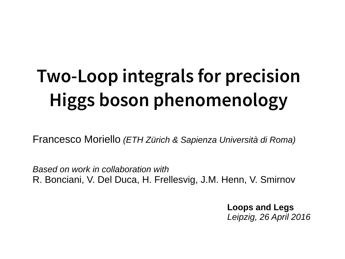# **Two-Loop integrals for precision Higgs boson phenomenology**

Francesco Moriello *(ETH Zürich & Sapienza Università di Roma)*

*Based on work in collaboration with*  R. Bonciani, V. Del Duca, H. Frellesvig, J.M. Henn, V. Smirnov

> **Loops and Legs**  *Leipzig, 26 April 2016*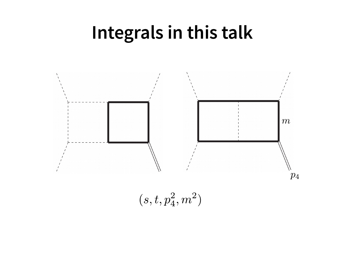#### **Integrals in this talk**



 $(s, t, p_4^2, m^2)$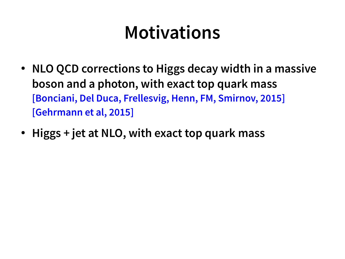#### **Motivations**

- **NLO QCD corrections to Higgs decay width in a massive boson and a photon, with exact top quark mass [Bonciani, Del Duca, Frellesvig, Henn, FM, Smirnov, 2015] [Gehrmann et al, 2015]**
- **Higgs + jet at NLO, with exact top quark mass**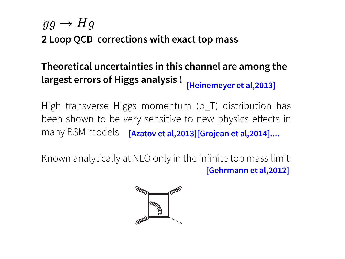#### $q q \rightarrow H q$

**2 Loop QCD corrections with exact top mass**

#### **Theoretical uncertainties in this channel are among the largest errors of Higgs analysis ! [Heinemeyer et al,2013]**

High transverse Higgs momentum (p\_T) distribution has been shown to be very sensitive to new physics effects in many BSM models **[Azatov et al,2013][Grojean et al,2014]....**

Known analytically at NLO only in the infinite top mass limit **[Gehrmann et al,2012]**

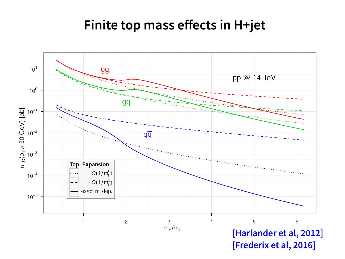#### **Finite top mass effects in H+jet**

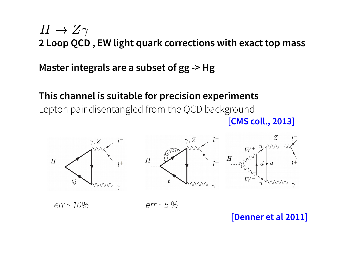#### $H\to Z\gamma$ **2 Loop QCD , EW light quark corrections with exact top mass**

#### **Master integrals are a subset of gg -> Hg**

#### **This channel is suitable for precision experiments**

Lepton pair disentangled from the QCD background **[CMS coll., 2013]**



 $err \sim 10\%$  err ~ 5 %

#### **[Denner et al 2011]**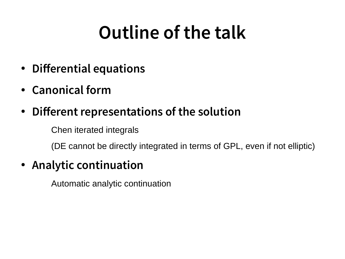## **Outline of the talk**

- **Differential equations**
- **Canonical form**
- **Different representations of the solution**

Chen iterated integrals

(DE cannot be directly integrated in terms of GPL, even if not elliptic)

#### ● **Analytic continuation**

Automatic analytic continuation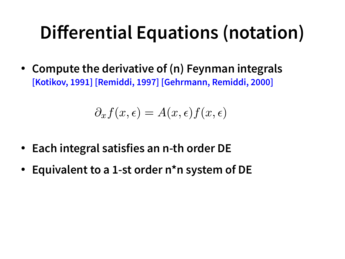### **Differential Equations (notation)**

• Compute the derivative of (n) Feynman integrals **[Kotikov, 1991] [Remiddi, 1997] [Gehrmann, Remiddi, 2000]** 

$$
\partial_x f(x, \epsilon) = A(x, \epsilon) f(x, \epsilon)
$$

- **Each integral satisfies an n-th order DE**
- **Equivalent to a 1-st order n\*n system of DE**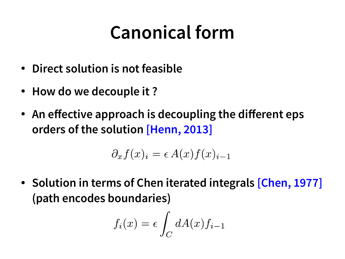#### **Canonical form**

- **Direct solution is not feasible**
- **How do we decouple it ?**
- An effective approach is decoupling the different eps **orders of the solution [Henn, 2013]**

$$
\partial_x f(x)_i = \epsilon A(x) f(x)_{i-1}
$$

• Solution in terms of Chen iterated integrals [Chen, 1977] **(path encodes boundaries)**

$$
f_i(x) = \epsilon \int_C dA(x) f_{i-1}
$$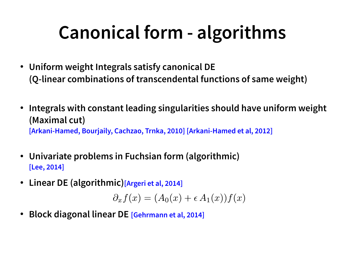## **Canonical form - algorithms**

- **Uniform weight Integrals satisfy canonical DE (Q-linear combinations of transcendental functions of same weight)**
- **Integrals with constant leading singularities should have uniform weight (Maximal cut) [Arkani-Hamed, Bourjaily, Cachzao, Trnka, 2010] [Arkani-Hamed et al, 2012]**
- **Univariate problems in Fuchsian form (algorithmic) [Lee, 2014]**
- **Linear DE (algorithmic)[Argeri et al, 2014]**

 $\partial_x f(x) = (A_0(x) + \epsilon A_1(x)) f(x)$ 

● **Block diagonal linear DE [Gehrmann et al, 2014]**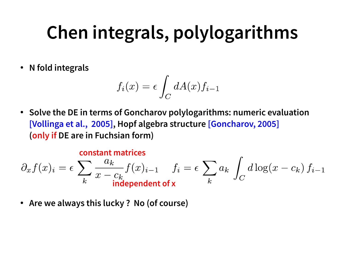## **Chen integrals, polylogarithms**

● **N fold integrals**

$$
f_i(x) = \epsilon \int_C dA(x) f_{i-1}
$$

● **Solve the DE in terms of Goncharov polylogarithms: numeric evaluation [Vollinga et al., 2005], Hopf algebra structure [Goncharov, 2005] (only if DE are in Fuchsian form)**

#### **constant matrices**

$$
\partial_x f(x)_i = \epsilon \sum_k \frac{a_k}{x - c_k} f(x)_{i-1} \quad f_i = \epsilon \sum_k a_k \int_C d \log(x - c_k) f_{i-1}
$$
  
independent of x

● **Are we always this lucky ? No (of course)**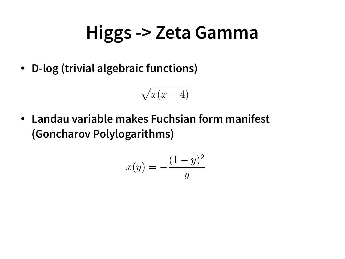#### **Higgs -> Zeta Gamma**

● **D-log (trivial algebraic functions)**

$$
\sqrt{x(x-4)}
$$

● **Landau variable makes Fuchsian form manifest (Goncharov Polylogarithms)**

$$
x(y) = -\frac{(1-y)^2}{y}
$$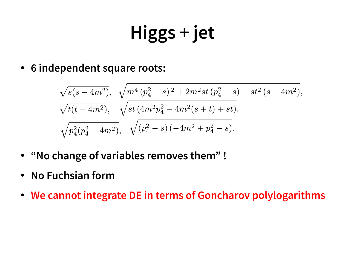# **Higgs + jet**

● **6 independent square roots:**

$$
\sqrt{s(s-4m^2)}, \sqrt{m^4 (p_4^2-s)^2 + 2m^2st (p_4^2-s) + st^2 (s-4m^2)},
$$
  

$$
\sqrt{t(t-4m^2)}, \sqrt{st (4m^2p_4^2 - 4m^2(s+t) + st)},
$$
  

$$
\sqrt{p_4^2(p_4^2 - 4m^2)}, \sqrt{(p_4^2-s)(-4m^2 + p_4^2-s)}.
$$

- **"No change of variables removes them" !**
- **No Fuchsian form**
- **We cannot integrate DE in terms of Goncharov polylogarithms**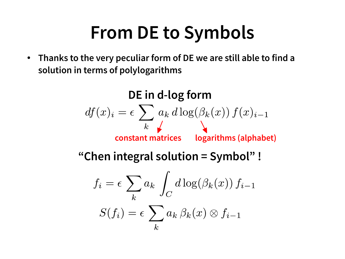#### **From DE to Symbols**

● **Thanks to the very peculiar form of DE we are still able to find a solution in terms of polylogarithms**

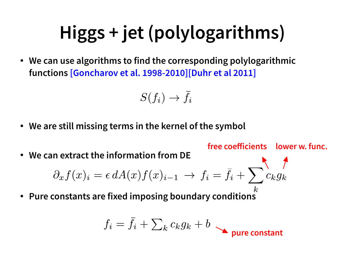# **Higgs + jet (polylogarithms)**

● **We can use algorithms to find the corresponding polylogarithmic functions [Goncharov et al. 1998-2010][Duhr et al 2011]**

$$
S(f_i)\to \bar{f}_i
$$

- **We are still missing terms in the kernel of the symbol**
- We can extract the information from DE<br> $\partial_x f(x)_i = \epsilon\, dA(x) f(x)_{i-1} \ \rightarrow \ f_i = \bar{f}_i + \sum c_k g_k$ ● **Pure constants are fixed imposing boundary conditions free coefficients lower w. func.**  $f_i = \bar{f}_i + \sum_k c_k g_k + b$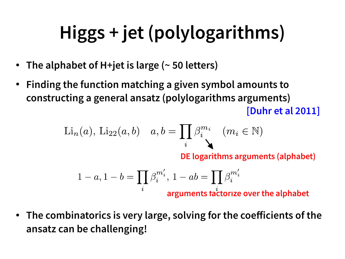# **Higgs + jet (polylogarithms)**

- **The alphabet of H+jet is large (~ 50 letters)**
- **Finding the function matching a given symbol amounts to constructing a general ansatz (polylogarithms arguments) [Duhr et al 2011]**

$$
\text{Li}_n(a), \text{Li}_{22}(a, b) \quad a, b = \prod_i \beta_i^{m_i} \quad (m_i \in \mathbb{N})
$$

**DE logarithms arguments (alphabet)**

$$
1-a, 1-b=\prod_i\beta_i^{m_i'},\,1-ab=\prod_i\beta_i^{m_i'}
$$
 arguments factorize over the alphabet

● **The combinatorics is very large, solving for the coefficients of the ansatz can be challenging!**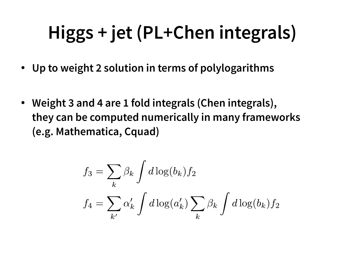# **Higgs + jet (PL+Chen integrals)**

- **Up to weight 2 solution in terms of polylogarithms**
- **Weight 3 and 4 are 1 fold integrals (Chen integrals), they can be computed numerically in many frameworks (e.g. Mathematica, Cquad)**

$$
f_3 = \sum_k \beta_k \int d \log(b_k) f_2
$$
  

$$
f_4 = \sum_{k'} \alpha'_k \int d \log(a'_k) \sum_k \beta_k \int d \log(b_k) f_2
$$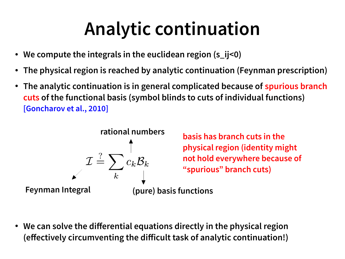## **Analytic continuation**

- **We compute the integrals in the euclidean region (s\_ij<0)**
- **The physical region is reached by analytic continuation (Feynman prescription)**
- The analytic continuation is in general complicated because of **spurious branch cuts of the functional basis (symbol blinds to cuts of individual functions) [Goncharov et al., 2010]**



**basis has branch cuts in the physical region (identity might not hold everywhere because of "spurious" branch cuts)**

**Feynman Integral (pure) basis functions**

● **We can solve the differential equations directly in the physical region (effectively circumventing the difficult task of analytic continuation!)**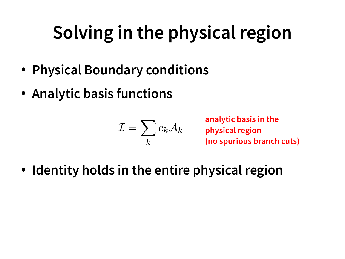# **Solving in the physical region**

- **Physical Boundary conditions**
- **Analytic basis functions**

$$
\mathcal{I}=\sum_k c_k \mathcal{A}_k
$$

**analytic basis in the physical region (no spurious branch cuts)**

● **Identity holds in the entire physical region**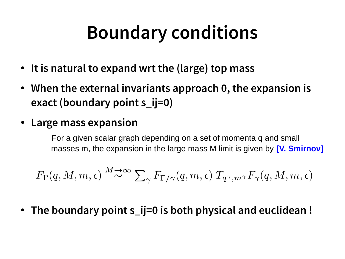### **Boundary conditions**

- It is natural to expand wrt the (large) top mass
- When the external invariants approach 0, the expansion is **exact (boundary point s\_ij=0)**
- **Large mass expansion**

For a given scalar graph depending on a set of momenta q and small masses m, the expansion in the large mass M limit is given by **[V. Smirnov]**

$$
F_{\Gamma}(q,M,m,\epsilon) \stackrel{M\to\infty}{\sim} \sum_{\gamma} F_{\Gamma/\gamma}(q,m,\epsilon) \ T_{q^{\gamma},m^{\gamma}}F_{\gamma}(q,M,m,\epsilon)
$$

● **The boundary point s\_ij=0 is both physical and euclidean !**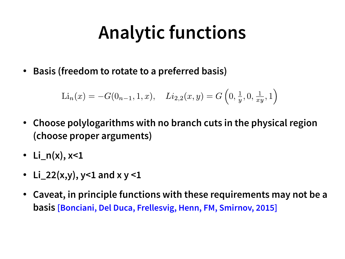## **Analytic functions**

● **Basis (freedom to rotate to a preferred basis)**

$$
\text{Li}_n(x) = -G(0_{n-1}, 1, x), \quad \text{Li}_{2,2}(x, y) = G\left(0, \frac{1}{y}, 0, \frac{1}{xy}, 1\right)
$$

- Choose polylogarithms with no branch cuts in the physical region **(choose proper arguments)**
- **Li\_n(x), x<1**
- Li\_22(x,y),  $y < 1$  and  $x y < 1$
- **Caveat, in principle functions with these requirements may not be a basis [Bonciani, Del Duca, Frellesvig, Henn, FM, Smirnov, 2015]**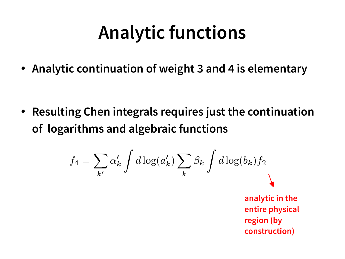### **Analytic functions**

● **Analytic continuation of weight 3 and 4 is elementary**

● **Resulting Chen integrals requires just the continuation of logarithms and algebraic functions**

$$
f_4 = \sum_{k'} \alpha'_k \int d\log(a'_k) \sum_k \beta_k \int d\log(b_k) f_2
$$
  
analytic in the  
entire physical  
region (by  
construction)